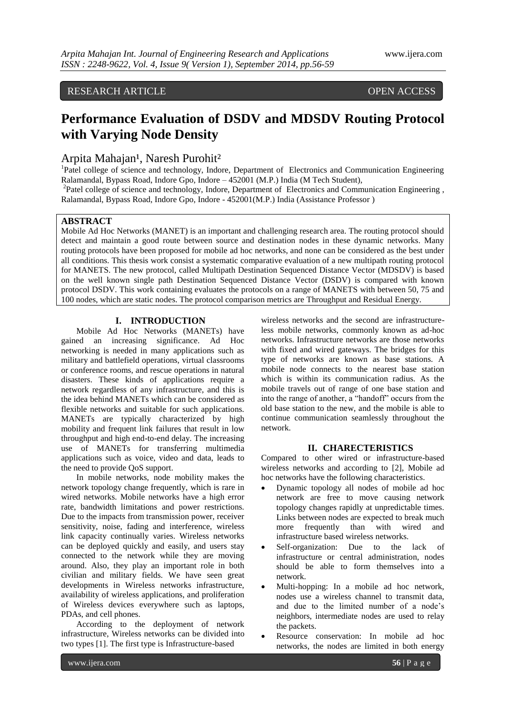# RESEARCH ARTICLE OPEN ACCESS

# **Performance Evaluation of DSDV and MDSDV Routing Protocol with Varying Node Density**

# Arpita Mahajan<sup>1</sup>, Naresh Purohit<sup>2</sup>

<sup>1</sup>Patel college of science and technology, Indore, Department of Electronics and Communication Engineering Ralamandal, Bypass Road, Indore Gpo, Indore – 452001 (M.P.) India (M Tech Student),

<sup>2</sup>Patel college of science and technology, Indore, Department of Electronics and Communication Engineering, Ralamandal, Bypass Road, Indore Gpo, Indore - 452001(M.P.) India (Assistance Professor )

# **ABSTRACT**

Mobile Ad Hoc Networks (MANET) is an important and challenging research area. The routing protocol should detect and maintain a good route between source and destination nodes in these dynamic networks. Many routing protocols have been proposed for mobile ad hoc networks, and none can be considered as the best under all conditions. This thesis work consist a systematic comparative evaluation of a new multipath routing protocol for MANETS. The new protocol, called Multipath Destination Sequenced Distance Vector (MDSDV) is based on the well known single path Destination Sequenced Distance Vector (DSDV) is compared with known protocol DSDV. This work containing evaluates the protocols on a range of MANETS with between 50, 75 and 100 nodes, which are static nodes. The protocol comparison metrics are Throughput and Residual Energy.

# **I. INTRODUCTION**

Mobile Ad Hoc Networks (MANETs) have gained an increasing significance. Ad Hoc networking is needed in many applications such as military and battlefield operations, virtual classrooms or conference rooms, and rescue operations in natural disasters. These kinds of applications require a network regardless of any infrastructure, and this is the idea behind MANETs which can be considered as flexible networks and suitable for such applications. MANETs are typically characterized by high mobility and frequent link failures that result in low throughput and high end-to-end delay. The increasing use of MANETs for transferring multimedia applications such as voice, video and data, leads to the need to provide QoS support.

In mobile networks, node mobility makes the network topology change frequently, which is rare in wired networks. Mobile networks have a high error rate, bandwidth limitations and power restrictions. Due to the impacts from transmission power, receiver sensitivity, noise, fading and interference, wireless link capacity continually varies. Wireless networks can be deployed quickly and easily, and users stay connected to the network while they are moving around. Also, they play an important role in both civilian and military fields. We have seen great developments in Wireless networks infrastructure, availability of wireless applications, and proliferation of Wireless devices everywhere such as laptops, PDAs, and cell phones.

According to the deployment of network infrastructure, Wireless networks can be divided into two types [1]. The first type is Infrastructure-based

wireless networks and the second are infrastructureless mobile networks, commonly known as ad-hoc networks. Infrastructure networks are those networks with fixed and wired gateways. The bridges for this type of networks are known as base stations. A mobile node connects to the nearest base station which is within its communication radius. As the mobile travels out of range of one base station and into the range of another, a "handoff" occurs from the old base station to the new, and the mobile is able to continue communication seamlessly throughout the network.

#### **II. CHARECTERISTICS**

Compared to other wired or infrastructure-based wireless networks and according to [2], Mobile ad hoc networks have the following characteristics.

- Dynamic topology all nodes of mobile ad hoc network are free to move causing network topology changes rapidly at unpredictable times. Links between nodes are expected to break much more frequently than with wired and infrastructure based wireless networks.
- Self-organization: Due to the lack of infrastructure or central administration, nodes should be able to form themselves into a network.
- Multi-hopping: In a mobile ad hoc network, nodes use a wireless channel to transmit data, and due to the limited number of a node's neighbors, intermediate nodes are used to relay the packets.
- Resource conservation: In mobile ad hoc networks, the nodes are limited in both energy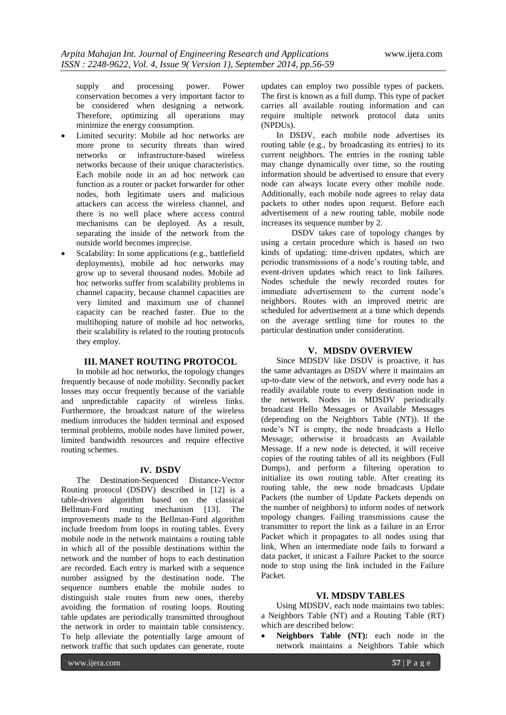supply and processing power. Power conservation becomes a very important factor to be considered when designing a network. Therefore, optimizing all operations may minimize the energy consumption.

- Limited security: Mobile ad hoc networks are more prone to security threats than wired networks or infrastructure-based wireless networks because of their unique characteristics. Each mobile node in an ad hoc network can function as a router or packet forwarder for other nodes, both legitimate users and malicious attackers can access the wireless channel, and there is no well place where access control mechanisms can be deployed. As a result, separating the inside of the network from the outside world becomes imprecise.
- Scalability: In some applications (e.g., battlefield deployments), mobile ad hoc networks may grow up to several thousand nodes. Mobile ad hoc networks suffer from scalability problems in channel capacity, because channel capacities are very limited and maximum use of channel capacity can be reached faster. Due to the multihoping nature of mobile ad hoc networks, their scalability is related to the routing protocols they employ.

#### **III. MANET ROUTING PROTOCOL**

In mobile ad hoc networks, the topology changes frequently because of node mobility. Secondly packet losses may occur frequently because of the variable and unpredictable capacity of wireless links. Furthermore, the broadcast nature of the wireless medium introduces the hidden terminal and exposed terminal problems, mobile nodes have limited power, limited bandwidth resources and require effective routing schemes.

#### **IV. DSDV**

The Destination-Sequenced Distance-Vector Routing protocol (DSDV) described in [12] is a table-driven algorithm based on the classical Bellman-Ford routing mechanism [13]. The improvements made to the Bellman-Ford algorithm include freedom from loops in routing tables. Every mobile node in the network maintains a routing table in which all of the possible destinations within the network and the number of hops to each destination are recorded. Each entry is marked with a sequence number assigned by the destination node. The sequence numbers enable the mobile nodes to distinguish stale routes from new ones, thereby avoiding the formation of routing loops. Routing table updates are periodically transmitted throughout the network in order to maintain table consistency. To help alleviate the potentially large amount of network traffic that such updates can generate, route

updates can employ two possible types of packets. The first is known as a full dump. This type of packet carries all available routing information and can require multiple network protocol data units (NPDUs).

In DSDV, each mobile node advertises its routing table (e.g., by broadcasting its entries) to its current neighbors. The entries in the routing table may change dynamically over time, so the routing information should be advertised to ensure that every node can always locate every other mobile node. Additionally, each mobile node agrees to relay data packets to other nodes upon request. Before each advertisement of a new routing table, mobile node increases its sequence number by 2.

DSDV takes care of topology changes by using a certain procedure which is based on two kinds of updating: time-driven updates, which are periodic transmissions of a node's routing table, and event-driven updates which react to link failures. Nodes schedule the newly recorded routes for immediate advertisement to the current node's neighbors. Routes with an improved metric are scheduled for advertisement at a time which depends on the average settling time for routes to the particular destination under consideration.

# **V. MDSDV OVERVIEW**

Since MDSDV like DSDV is proactive, it has the same advantages as DSDV where it maintains an up-to-date view of the network, and every node has a readily available route to every destination node in the network. Nodes in MDSDV periodically broadcast Hello Messages or Available Messages (depending on the Neighbors Table (NT)). If the node's NT is empty, the node broadcasts a Hello Message; otherwise it broadcasts an Available Message. If a new node is detected, it will receive copies of the routing tables of all its neighbors (Full Dumps), and perform a filtering operation to initialize its own routing table. After creating its routing table, the new node broadcasts Update Packets (the number of Update Packets depends on the number of neighbors) to inform nodes of network topology changes. Failing transmissions cause the transmitter to report the link as a failure in an Error Packet which it propagates to all nodes using that link, When an intermediate node fails to forward a data packet, it unicast a Failure Packet to the source node to stop using the link included in the Failure Packet.

## **VI. MDSDV TABLES**

Using MDSDV, each node maintains two tables: a Neighbors Table (NT) and a Routing Table (RT) which are described below:

 **Neighbors Table (NT):** each node in the network maintains a Neighbors Table which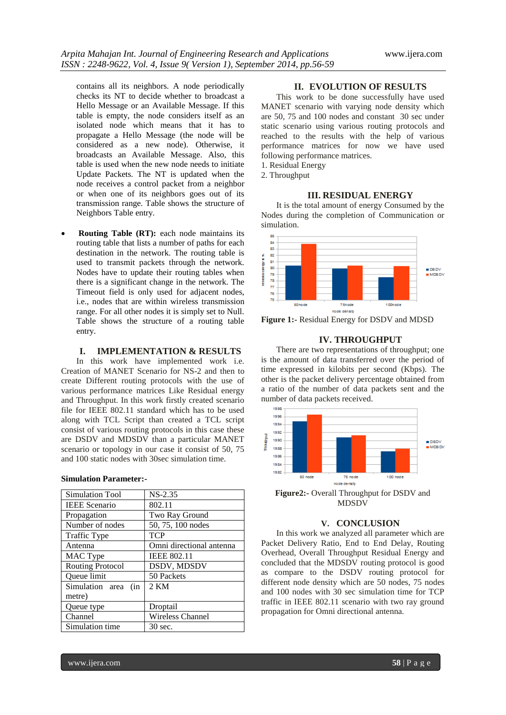contains all its neighbors. A node periodically checks its NT to decide whether to broadcast a Hello Message or an Available Message. If this table is empty, the node considers itself as an isolated node which means that it has to propagate a Hello Message (the node will be considered as a new node). Otherwise, it broadcasts an Available Message. Also, this table is used when the new node needs to initiate Update Packets. The NT is updated when the node receives a control packet from a neighbor or when one of its neighbors goes out of its transmission range. Table shows the structure of Neighbors Table entry.

 **Routing Table (RT):** each node maintains its routing table that lists a number of paths for each destination in the network. The routing table is used to transmit packets through the network. Nodes have to update their routing tables when there is a significant change in the network. The Timeout field is only used for adjacent nodes, i.e., nodes that are within wireless transmission range. For all other nodes it is simply set to Null. Table shows the structure of a routing table entry.

# **I. IMPLEMENTATION & RESULTS**

In this work have implemented work i.e. Creation of MANET Scenario for NS-2 and then to create Different routing protocols with the use of various performance matrices Like Residual energy and Throughput. In this work firstly created scenario file for IEEE 802.11 standard which has to be used along with TCL Script than created a TCL script consist of various routing protocols in this case these are DSDV and MDSDV than a particular MANET scenario or topology in our case it consist of 50, 75 and 100 static nodes with 30sec simulation time.

# **Simulation Parameter:-**

| $NS-2.35$                |
|--------------------------|
| 802.11                   |
| Two Ray Ground           |
| 50, 75, 100 nodes        |
| <b>TCP</b>               |
| Omni directional antenna |
| <b>IEEE 802.11</b>       |
| DSDV, MDSDV              |
| 50 Packets               |
| $2$ KM                   |
|                          |
| Droptail                 |
| <b>Wireless Channel</b>  |
| 30 sec.                  |
|                          |

# **II. EVOLUTION OF RESULTS**

This work to be done successfully have used MANET scenario with varying node density which are 50, 75 and 100 nodes and constant 30 sec under static scenario using various routing protocols and reached to the results with the help of various performance matrices for now we have used following performance matrices.

1. Residual Energy

2. Throughput

# **III. RESIDUAL ENERGY**

It is the total amount of energy Consumed by the Nodes during the completion of Communication or simulation.



**Figure 1:-** Residual Energy for DSDV and MDSD

## **IV. THROUGHPUT**

There are two representations of throughput; one is the amount of data transferred over the period of time expressed in kilobits per second (Kbps). The other is the packet delivery percentage obtained from a ratio of the number of data packets sent and the number of data packets received.



**Figure2:-** Overall Throughput for DSDV and MDSDV

# **V. CONCLUSION**

In this work we analyzed all parameter which are Packet Delivery Ratio, End to End Delay, Routing Overhead, Overall Throughput Residual Energy and concluded that the MDSDV routing protocol is good as compare to the DSDV routing protocol for different node density which are 50 nodes, 75 nodes and 100 nodes with 30 sec simulation time for TCP traffic in IEEE 802.11 scenario with two ray ground propagation for Omni directional antenna.